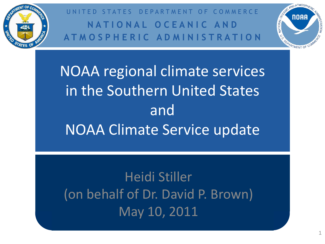

D E PAR T M E N T O F COMMERCE **N A T I O N A L O C E A N I C A N D A T M O S P H E R I C A D M I N I S T R A T I O N**



1

NOAA regional climate services in the Southern United States and NOAA Climate Service update

Heidi Stiller (on behalf of Dr. David P. Brown) May 10, 2011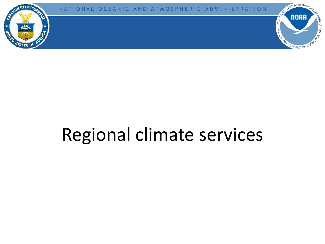

### Regional climate services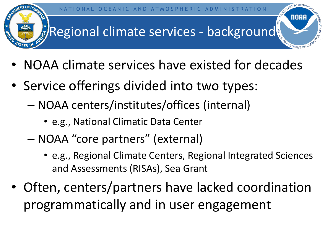

- NOAA climate services have existed for decades
- Service offerings divided into two types:
	- NOAA centers/institutes/offices (internal)
		- e.g., National Climatic Data Center
	- NOAA "core partners" (external)
		- e.g., Regional Climate Centers, Regional Integrated Sciences and Assessments (RISAs), Sea Grant
- Often, centers/partners have lacked coordination programmatically and in user engagement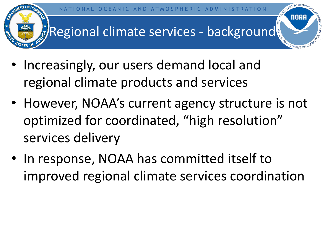

- Increasingly, our users demand local and regional climate products and services
- However, NOAA's current agency structure is not optimized for coordinated, "high resolution" services delivery
- In response, NOAA has committed itself to improved regional climate services coordination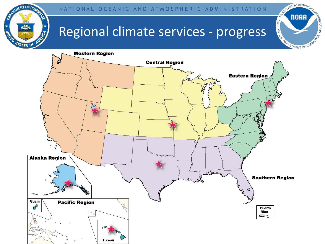

AND ATMOSPHERIC

**NOAA** 

**POTTRATION** 

## Regional climate services - progress

ENT OF CO

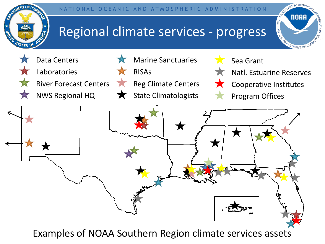

Examples of NOAA Southern Region climate services assets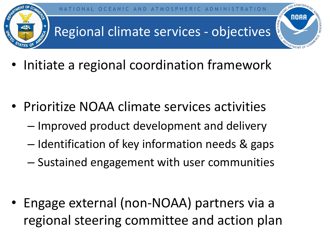

• Initiate a regional coordination framework

- Prioritize NOAA climate services activities
	- Improved product development and delivery
	- Identification of key information needs & gaps
	- Sustained engagement with user communities

• Engage external (non-NOAA) partners via a regional steering committee and action plan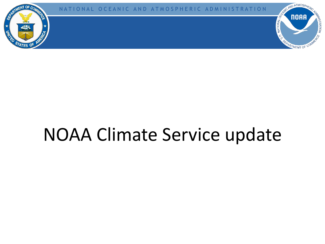

### NOAA Climate Service update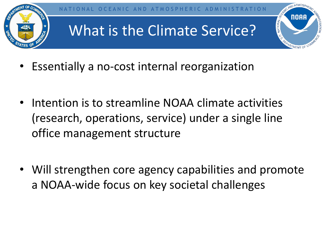

- Essentially a no-cost internal reorganization
- Intention is to streamline NOAA climate activities (research, operations, service) under a single line office management structure
- Will strengthen core agency capabilities and promote a NOAA-wide focus on key societal challenges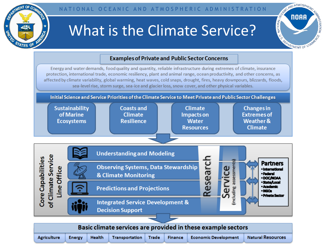NATIONAL OCEANIC AND ATMOSPHERIC ADMINISTRATION

# **STATES OF**

### What is the Climate Service?



#### **Examples of Private and Public Sector Concerns**

Energy and water demands, food quality and quantity, reliable infrastructure during extremes of climate, insurance protection, international trade, economic resiliency, plant and animal range, ocean productivity, and other concerns, as affected by climate variability, global warming, heat waves, cold snaps, drought, fires, heavy downpours, blizzards, floods, sea-level rise, storm surge, sea-ice and glacier loss, snow cover, and other physical variables.

Initial Science and Service Priorities of the Climate Service to Meet Private and Public Sector Challenges

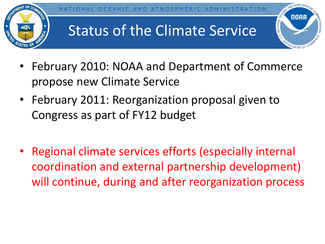

- February 2010: NOAA and Department of Commerce propose new Climate Service
- February 2011: Reorganization proposal given to Congress as part of FY12 budget
- Regional climate services efforts (especially internal coordination and external partnership development) will continue, during and after reorganization process